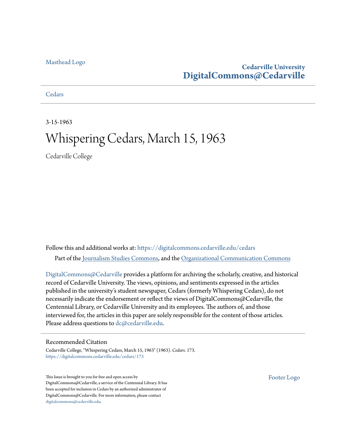## [Masthead Logo](http://www.cedarville.edu/?utm_source=digitalcommons.cedarville.edu%2Fcedars%2F173&utm_medium=PDF&utm_campaign=PDFCoverPages)

## **Cedarville University [DigitalCommons@Cedarville](https://digitalcommons.cedarville.edu?utm_source=digitalcommons.cedarville.edu%2Fcedars%2F173&utm_medium=PDF&utm_campaign=PDFCoverPages)**

**[Cedars](https://digitalcommons.cedarville.edu/cedars?utm_source=digitalcommons.cedarville.edu%2Fcedars%2F173&utm_medium=PDF&utm_campaign=PDFCoverPages)** 

3-15-1963

# Whispering Cedars, March 15, 1963

Cedarville College

Follow this and additional works at: [https://digitalcommons.cedarville.edu/cedars](https://digitalcommons.cedarville.edu/cedars?utm_source=digitalcommons.cedarville.edu%2Fcedars%2F173&utm_medium=PDF&utm_campaign=PDFCoverPages) Part of the [Journalism Studies Commons](http://network.bepress.com/hgg/discipline/333?utm_source=digitalcommons.cedarville.edu%2Fcedars%2F173&utm_medium=PDF&utm_campaign=PDFCoverPages), and the [Organizational Communication Commons](http://network.bepress.com/hgg/discipline/335?utm_source=digitalcommons.cedarville.edu%2Fcedars%2F173&utm_medium=PDF&utm_campaign=PDFCoverPages)

[DigitalCommons@Cedarville](http://digitalcommons.cedarville.edu/) provides a platform for archiving the scholarly, creative, and historical record of Cedarville University. The views, opinions, and sentiments expressed in the articles published in the university's student newspaper, Cedars (formerly Whispering Cedars), do not necessarily indicate the endorsement or reflect the views of DigitalCommons@Cedarville, the Centennial Library, or Cedarville University and its employees. The authors of, and those interviewed for, the articles in this paper are solely responsible for the content of those articles. Please address questions to [dc@cedarville.edu.](mailto:dc@cedarville.edu)

## Recommended Citation

Cedarville College, "Whispering Cedars, March 15, 1963" (1963). *Cedars*. 173. [https://digitalcommons.cedarville.edu/cedars/173](https://digitalcommons.cedarville.edu/cedars/173?utm_source=digitalcommons.cedarville.edu%2Fcedars%2F173&utm_medium=PDF&utm_campaign=PDFCoverPages)

This Issue is brought to you for free and open access by DigitalCommons@Cedarville, a service of the Centennial Library. It has been accepted for inclusion in Cedars by an authorized administrator of DigitalCommons@Cedarville. For more information, please contact [digitalcommons@cedarville.edu](mailto:digitalcommons@cedarville.edu).

[Footer Logo](http://www.cedarville.edu/Academics/Library.aspx?utm_source=digitalcommons.cedarville.edu%2Fcedars%2F173&utm_medium=PDF&utm_campaign=PDFCoverPages)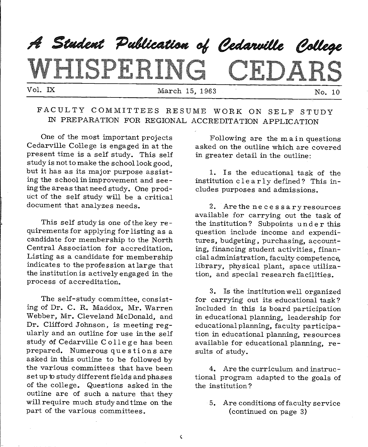## A Student Publication of Cedarville College LIQTI RIN IDAR Vol. IX March 15, 1963 No. 10

## FACULTY COMMITTEES RESUME WORK ON SELF STUDY IN PREPARATION FOR. REGIONAL ACCREDITATION APPLICATION

One of the most important projects Cedarville College is engaged in at the present time is a self study. This self study is not to make the school look good, but it has as its major purpose assisting the school in improvement and seeing the areas that need study. One product of the self study will be a critical document that analyzes needs.

This self study is one of the key requirements for applying for listing as <sup>a</sup> candidate for membership to the North Central Association for accreditation. Listing as a candidate for membership indicates to the profession at large that the institution is actively engaged in the process of accreditation.

The self-study committee, consisting of Dr. C. R. Maddox, Mr. Warren Webber, Mr. Cleveland McDonald, and Dr. Clifford Johnson, is meeting regularly and an outline for use in the self study of Cedarville C ollege has been prepared. Numerous que stions are asked in this outline to be followed by the various committees that have been set up to study different fields and phases of the college. Questions asked in the outline are of such a nature that they will require much study and time on the part of the various committees.

Following are the main questions asked on the outline which are covered in greater detail in the outline:

1. Is the educational task of the institution c 1 e a r 1 y defined? This in eludes purposes and admissions.

2. Are the necessary resources available for carrying out the task of the institution? Subpoints u n de r this question include income and expenditures, budgeting, purchasing, accounting, financing student activities, financial administration, faculty competence, library, physical plant, space utilization, and special research facilities.

3. Is the institution well organized for carrying out its educational task? Included in this is board participation in educational planning, leadership for educational planning, faculty participation in educational planning, resources available for educational planning, results of study.

4. Are the curriculum and instruc tional program adapted to the goals of the institution?

5. Are conditions of faculty service (continued on page 3)

 $\hat{\mathbf{v}}$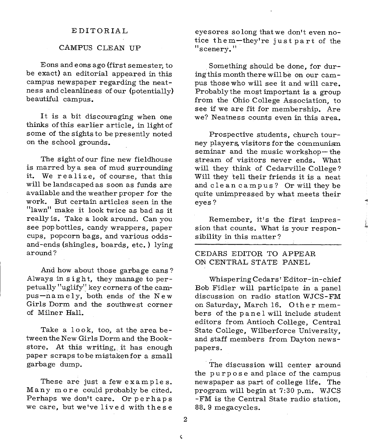#### EDITORIAL

#### CAMPUS CLEAN UP

Eons and eons ago (first semester, to be exact) an editorial appeared in this campus newspaper regarding the neatness and cleanliness of our (potentially) beautiful campus.

It is a bit discouraging when one thinks of this earlier article, in light of some of the sights to be presently noted on the school grounds.

The sight of our fine new fieldhouse is marred bya sea of mud surrounding it. We realize, of course, that this will be landscaped as soon as funds are available and the weather proper for the work. But certain articles seen in the "lawn" make it look twice as bad as it really is. Take a look around. Can you see pop bottles, candy wrappers, paper cups, popcorn bags, and various oddsand-ends (shingles, boards, etc.) lying around?

And how about those garbage cans ? Always in sight, they manage to perpetually  $\frac{1}{2}$  uglify<sup>11</sup> key corners of the campus-namely, both ends of the New Girls Dorm and the southwest corner of Milner Hall.

Take a look, too, at the area between the New Girls Dorm and the Bookstore. At this writing,. it has enough paper scraps to be mistaken for a small garbage dump.

These are just a few examples. Many more could probably be cited. Perhaps we don't care. Or perhaps we care, but we've lived with these

eyesores so long thatwe don't even notice them-they're just part of the "scenery."

Something should be done, for duringthis month there will be on our campus those who will see it and will care. Probably the most important is a group from the Ohio College Association, to see if we are fit for membership. Are we? Neatness counts even in this area.

Prospective students, church tourney players, visitors for the communi&n seminar and the music workshop- the stream of visitors never ends. What will they think of Cedarville College? Will they tell their friends it is a neat and clean campus? Or will they be quite unimpressed by what meets their eyes?

Remember, it's the first impression that counts. What is your responsibility in this matter?

## CEDARS EDITOR TO APPEAR ON CENTRAL STATE PANEL

Whispering Cedars' Editor-in-chief Bob Fidler will participate in a panel discussion on radio station WJCS-FM on Saturday, March 16. Other members of the panel will include student editors from Antioch College, Central State College, Wilberforce University, and staff members from Dayton newspapers.

The discussion will center around the purpose and place of the campus newspaper as part of college life. The program will begin at 7:30 p.m. WJCS -FM is the Central State radio station, 88. 9 megacycles.

2

¢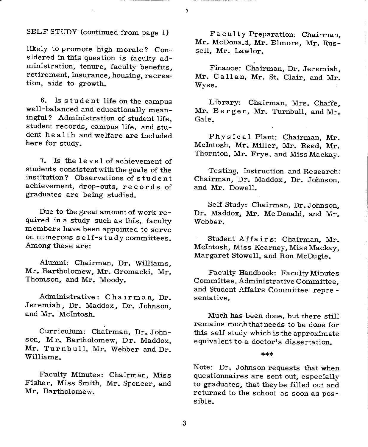## SELF STUDY (continued from page 1)

likely to promote high morale? Considered in this question is faculty administration, tenure, faculty benefits, retirement, insurance, housing, recreation, aids to growth.

6. Is student life on the campus well-balanced and educationally meaningful? Administration of student life. student records, campus life, and student he a 1th and welfare are included here for study.

7. Is the level of achievement of students consistent with the goals of the institution? Observations of student achievement, drop-outs, records of graduates are being studied.

Due to the great amount of work required in a study such as this, faculty members have been appointed to serve on numerous s elf-studycommittees. Among these are:

Alumni: Chairman, Dr. Williams, Mr. Bartholomew. Mr. Gromacki, Mr. Thomson, and Mr. Moody.

Administrative: Chairman, Dr. Jeremiah. Dr. Maddox. Dr. Johnson, and Mr. McIntosh.

Curriculum: Chairman, Dr. Johnson, Mr. Bartholomew. Dr. Maddox, Mr. Turnbull, Mr. Webber and Dr. Williams.

Faculty Minutes: Chairman, Miss Fisher, Miss Smith, Mr. Spencer, and Mr. Bartholomew.

Faculty Preparation: Chairman, Mr. McDonald, Mr. Elmore, Mr. Russell, Mr. Lawlor.

Finance: Chairman, Dr. Jeremiah, Mr. Callan, Mr. St. Clair, and Mr. Wyse.

Library: Chairman, Mrs. Chaffe, Mr. Bergen, Mr. Turnbull, and Mr. Gale.

Physical Plant: Chairman, Mr. McIntosh, Mr. Miller, Mr. Reed, Mr. Thornton, Mr. Frye, and Miss Mackay.

Testing, Instruction and Research: Chairman, Dr. Maddox, Dr. Johnson, and Mr. Dowell.

Self Study: Chairman, Dr. Johnson, Dr. Maddox, Mr. Mc Donald, and Mr. Webber.

Student Affairs: Chairman, Mr. Mcintosh, Miss Kearney. Miss Mackay, Margaret Stowell, and Ron McDugle.

Faculty Handbook: Faculty Minutes Committee, Administrative Committee, and Student Affairs Committee repre sentative.

Much has been done, but there still remains much that needs to be done for this self study which is the approximate equivalent to a doctor's dissertation.

#### \*\*\*

Note: Dr. Johnson requests that when questionnaires are sent out, especially to graduates, that theybe filled out and returned to the school as soon as possible.

 $\mathbf{\hat{z}}$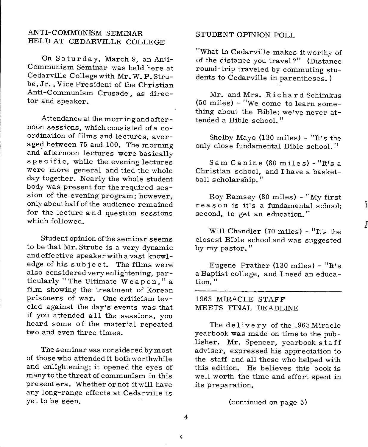## ANTI-COMMUNISM SEMINAR HELD AT CEDARVILLE COLLEGE

On Saturday, March 9, an Anti-Communism Seminar was held here at Cedarville College with Mr. W. P. Strube, Jr., Vice President of the Christian Anti-Communism Crusade, as director and speaker.

Attendance at the morning and afternoon sessions, which consisted of a coordination of films and lectures, averaged between 75 and 100. The morning and afternoon lectures were basically specific, while the evening lectures were more general and tied the whole day together. Nearly the whole student body was present for the required session of the evening program; however, only about half of the audience remained for the lecture and question sessions which followed.

Student opinion ofthe seminar seems to be that Mr. Strube is a very dynamic and effective speaker with a vast knowledge of his subject. The films were also considered very enlightening, particularly "The Ultimate Weapon,"a film showing the treatment of Korean prisoners of war. One criticism leveled against the day's events was that if you attended a 11 the sessions, you heard some of the material repeated two and even three times.

The seminar was considered by most of those who attended it both worthwhile and enlightening; it opened the eyes of many to the threat of communism in this present era. Whether or not it will have any long-range effects at Cedarville is yet to be seen.

#### STUDENT OPINION POLL

"What in Cedarville makes it worthy of of the distance you travel?" (Distance round-trip traveled by commuting students to Cedarville in parentheses. )

Mr. and Mrs. Richard Schimkus (50 miles) - "We come to learn something about the Bible; we've never attended a Bible school. "

Shelby Mayo (130 miles) - "It's the only close fundamental Bible school. "

Sam Canine (80 miles) -"It's <sup>a</sup> Christian school, and I have a basketball scholarship."

Roy Ramsey (80 miles) - "My first reason is it's a fundamental school; second, to get an education."

]

l

Will Chandler (70 miles) - "It's the closest Bible school and was suggested by my pastor."

Eugene Prather (130 miles) - "It's <sup>a</sup>Baptist college, and I need an education."

1963 MIRACLE STAFF MEETS FINAL DEADLINE

The delivery of the 1963 Miracle yearbook was made on time to the publisher. Mr. Spencer, yearbook staff adviser, expressed his appreciation to the staff and all those who helped with this edition. He believes this book is well worth the time and effort spent in its preparation.

(continued on page 5)

4

 $\hat{\mathbf{C}}$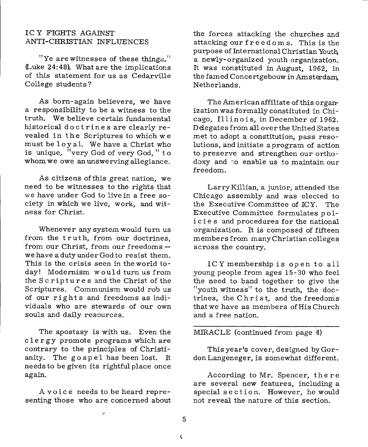## ICY FIGHTS AGAINST ANTI-CHRISTIAN INFLUENCES

"Ye arewitnesses of these things." (Luke 24:48). What are the implications of this statement for us as Cedarville College students?

As born-again believers, we have a responsibility to be a witness to the truth. We believe certain fundamental historical doctrines are clearly revealed in the Scriptures to which we must be loyal. We have a Christ who is unique, "very God of very God," to whom we owe an unswerving allegiance.

As citizens ofthis great nation, we need to be witnesses to the rights that we have under God to live in a free society in which we live, work, and witness for Christ.

Whenever any system would turn us from the truth, from our doctrines, from our Christ, from our freedoms - we have a duty under God to resist them. This is the crisis seen in the world today! Modernism would turn us from the Scriptures and the Christ of the Scriptures. Communism would rob us of our rights and freedoms as individuals who are stewards of our own souls and daily resources.

The apostasy is with us. Even the c 1 er gy promote programs which are contrary to the principles of Christianity. The gospel has been lost. It needs to be given its rightful place once again.

A voice needs to be heard representing those who are concerned about the forces attacking the churches and attacking our fr e e do <sup>m</sup>s. This is the purpose of International Christian Youth, a newly-organized youth organization. It was constituted in August, 1962, in the famed Concertgebouw in Amsterdam, Netherlands.

The American affiliate of this organization was formally constituted in Chicago, Illinois, in December of 1962. Delegates from all over the United States met to adopt a constitution, pass resolutions, and initiate <sup>a</sup>program of action to preserve and strengthen our orthodoxy and ·:o enable us to maintain our freedom.

Larry Killian, a junior, attended the Chicago assembly and was elected to the Executive Committee of ICY. The Executive Committee formulates po 1 icies and procedures for the national organization. It is composed of fifteen members from many Christian colleges across the country.

ICY membership is open to all young people from ages 15-30 who feel the need to band together to give the "youth witness" to the truth, the doctrines, the Christ, and the freedoms that we have as members of His Church and a free nation.

## MIRACLE (continued from page 4)

This year's cover, designed by Gordon Langeneger, is somewhat different.

According to Mr. Spencer, there are several new features, including <sup>a</sup> special s e ct ion. However, he would not reveal the nature of this section.

5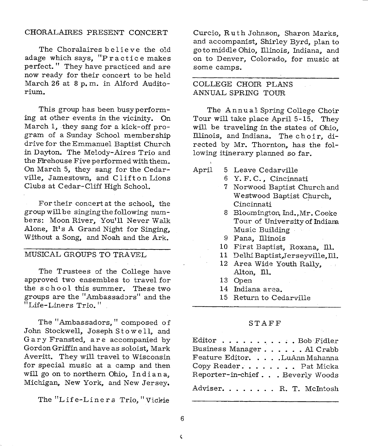### CHORALAIRES PRESENT CONCERT

The Choralaires believe the old adage which says, "Practice makes perfect. " They have practiced and are now ready for their concert to be held March 26 at 8 p. m. in Alford Auditorium.

This group has been busyperforming at other events in the vicinity. On March 1, they sang for a kick-off program of a Sunday School membership drive for the Emmanuel Baptist Church in Dayton. The Melody-Aires Trio and the Firehouse Five performed with them. On March 5, they sang for the Cedarville, Jamestown, and Clifton Lions Clubs at Cedar-Cliff High School.

For their concert at the school, the group will be singing the following num bers: Moon River, You'll Never Walk Alone, It's A Grand Night for Singing, Without a Song, and Noah and the Ark.

## MUSICAL GROUPS TO TRAVEL

The Trustees of the College have approved two ensembles to travel for the school this summer. These two groups are the "Ambassadors" and the "Life-Liners Trio. <sup>11</sup>

The "Ambassadors," composed of John Stockwell, Joseph Stowell, and Gary Fransted, are accompanied by Gordon Griffin and have as soloist, Mark Averitt. They will travel to Wisconsin for special music at <sup>a</sup>camp and then will go on to northern Ohio, Indiana, Michigan, New York, and New Jersey.

The "Life-Liners Trio, "Vickie

Curcio, Ruth Johnson, Sharon Marks, and accompanist, Shirley Byrd, plan to goto middle Ohio, Illinois, Indiana, and on to Denver, Colorado, for music at some camps.

## COLLEGE CHOIR PLANS ANNUAL SPRING TOUR

The Annual Spring College Choir Tour will take place April 5-15. They will be traveling in the states of Ohio, Illinois, and Indiana. The choir, directed by Mr. Thornton, has the following itinerary planned so far.

April 5 Leave Cedarville

- 6 Y. F. C., Cincinnati
- <sup>7</sup>Norwood Baptist Church and Westwood Baptist Church, Cincinnati
- 8 Bloomington, Ind.,Mr. Cooke Tour of University of Indiana Music Building
- 9 Pana, Illinois
- 10 First Baptist, Roxana, Ill.
- 11 Delhi Baptist,Jerseyville,ID.
- 12 Area Wide Youth Rally, Alton, Ill.
- 13 Open
- 14 Indiana area.
- 15 Return to Cedarville

#### STAFF

| ${\small \textsf{Editor}} \hspace{0.25cm} \ldots \ldots \ldots \ldots \ldots \text{\small \textsf{Bob Fidler}}$ |
|-----------------------------------------------------------------------------------------------------------------|
| Business Manager. Al Crabb                                                                                      |
| Feature Editor. LuAnn Mahanna                                                                                   |
| Copy Reader. Pat Micka                                                                                          |
| Reporter-in-chiefBeverly Woods                                                                                  |
| Adviser R. T. McIntosh                                                                                          |

¢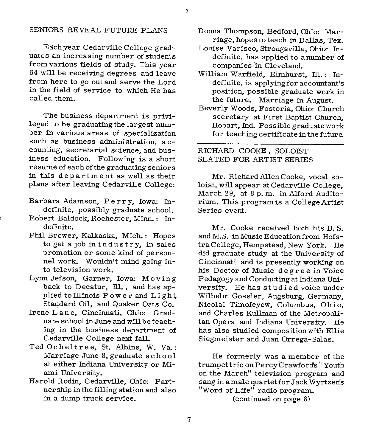#### SENIORS REVEAL FUTURE PLANS

Each year Cedarville College graduates an increasing number of studenis from various fields of study. This year 64 will be receiving degrees and leave from here to go out and serve the Lord in the field of service to which He has called them.

The business department is privileged to be graduating the largest num ber in various areas of specialization such as business administration, accounting, secretarial science, and business education. Following is a short resume of each of the graduating seniors in this department as well as their <sup>p</sup>lans after leaving Cedarville College:

- Barbara Adamson, Perry, Iowa: Indefinite, possibly graduate school.
- Robert Baldock, Rochester, Minn. : Indefinite.
- Phil Brower, Kalkaska, Mich. : Hopes to get a job in industry, in sales promotion or some kind of personnel work. Wouldn't mind going into television work.
- Lynn Jefson, Garner, Iowa: Moving back to Decatur, Ill., and has applied to Illinois P ower and Light Standard Oil, and Quaker Oats Co.
- Irene Lane, Cincinnati, Ohio: Graduate school in June and will be teaching in the business department of Cedarville College next fall.
- Ted Ocheltree, St. Albins, W. Va.: Marriage June 8, graduate school at either Indiana University or Miami University.
- Harold Rodin, Cedarville, Ohio: Partnership in the filling station and also in a dump truck service.
- Donna Thompson, Bedford, Ohio: Marriage, hopes to teach in Dallas, Tex.
- Louise Varisco, Strongsville, Ohio: Indefinite, has applied to a number of companies in Cleveland.
- William Warfield, Elmhurst, Ill.: Indefinite, is applying for accountant's position, possible graduate work in the future. Marriage in August.
- Beverly Woods, Fostoria, Ohio: Church secretary at First Baptist Church, Hobart, Ind. Possible graduate work for teaching certificate in the future

RICHARD COOKE, SOLOIST SLATED FOR ARTIST SERIES

Mr. Richard Allen Cooke, vocal soloist, will appear at Cedarville College, March 29, at 8 p. m. in Alford Auditorium. This program is a College Artist Series event.

Mr. Cooke received both his B. S. and M.S. in Music Education from HofstraCollege, Hempstead, New York. He did graduate study at the University of Cincinnati and is presently working on his Doctor of Music degree in Voice Pedagogy and Conducting at Indiana University. He has studied voice under Wilhelm Gossler, Augsburg, Germany, Nicolai Timofeyew, Columbus, Ohio, and Charles Kullman of the Metropolitan Opera and Indiana University. He has also studied composition with Ellie Siegmeister and Juan Orrega-Salas.

He formerly was a member of the trumpet trio on Percy Crawfords "Youth on the March" television program and sang in a male quartet for Jack Wyrtzen's "Word of Life" radio program.

(continued on page 8)

 $\mathbf 3$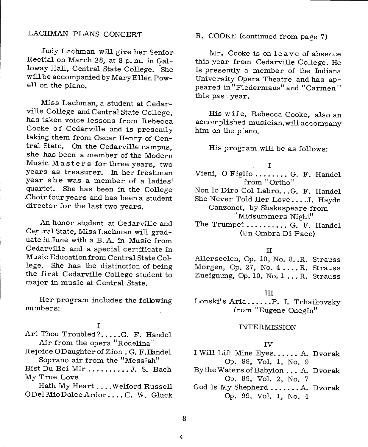## LACHMAN PLANS CONCERT

Judy Lachman will give her Senior Recital on March 28, at 8 p. m. in Galloway Hall, Central State College. She will be accompanied by Mary Ellen Powell on the piano.

Miss Lachman, a student at Cedarville College and Central State College, has taken voice lessons from Rebecca Cooke of Cedarville and is presently taking them from Oscar Henry of Central State. On the Cedarville campus, she has been a member of the Modern Music Masters for three years, two years as treasurer. In her freshman year she was a member of a ladies' quartet. She has been in the College .Choir four years and has been a student director for the last two years.

An honor student at Cedarville and Central State, Miss Lachman will graduate in June with a B. A. in Music from Cedarville and a special certificate in Music Education from Central State College. She has the distinction of being the first Cedarville College student to major in music at Central State.

Her program includes the folbwing numbers:

I

Art Thou Troubled?....G. F. Handel Air from the opera "Rodelina"

Rejoice ODaughterof Zion. G. F.Handel Soprano air from the "Messiah"

Bist Du Bei Mir ...•...•.• J. S. Bach My True Love

Hath My Heart .... Welford Russell ODelMioDolceArdor .... C. W. Gluck R. COOKE (continued from page 7)

Mr. Cooke is on leave of absence this year from Cedarville College. He is presently a member of the Indiana University Opera Theatre and has appeared in "Fledermaus" and "Carmen" this past year.

His wife, Rebecca Cooke, also an accomplished musician, will accompany him on the piano.

His program will be as follows:

#### I

- Vieni, O Figlio ........ G. F. Handel from "Ortho"
- Non lo Diro Col Labro...G. F. Handel
- She Never Told Her Love....J. Haydn Canzonet, by Shakespeare from '' Midsummers Night''
- The Trumpet ......... G. F. Handel (Un Ombra Di Pace)

#### II

Allerseelen, Op. 10, No. 8..R. Strauss Morgen, Op. 27, No. 4....R. Strauss Zueignung, Op. 10, No. 1 ... R. Strauss

#### III

Lonski's Aria......P. I. Tchaikovsky from "Eugene Onegin"

#### INTERMISSION

#### IV

I Will Lift Mine Eyes...... A. Dvorak Op. 99, Vol. 1, No. 9

- By the Waters of Babylon ... A. Dvorak Op. 99, Vol. 2, No. 7
- God Is My Shepherd ....... A. Dvorak Op. 99, Vol. 1, No. 4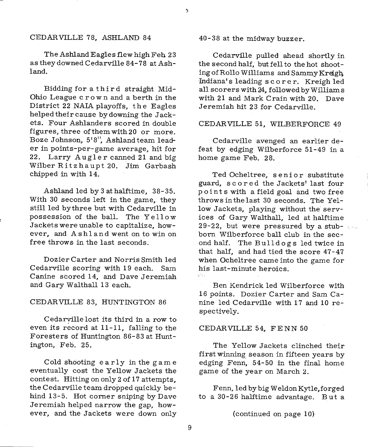#### CEDARVILLE 78, ASHLAND 84

The Ashland Eagles flew high Feh 23 as they downed Cedarville 84-78 at Ashland.

Bidding for a third straight Mid-Ohio League <sup>c</sup>row n and a berth in the District 22 NAIA playoffs, the Eagles helped their cause by downing the Jackets. Four Ashlanders scored in double figures, three of them with 20 or more. Boze Johnson, 5' 8", Ashland team leader in points-per-game average, hit for 22. Larry Augler canned 21 and big Wilber Ritzhaupt 20. Jim Garbash chipped in with 14.

Ashland led by 3 at halftime, 38-35. With 30 seconds left in the game, they still led bythree but with Cedarville in possession of the ball. The Yellow Jackets were unable to capitalize, however, and Ashland went on to win on free throws in the last seconds.

Dozier Carter and Norris Smith led Cedarville scoring with 19 each. Sam Canine scored 14, and Dave Jeremiah and Gary Walthall 13 each.

#### CEDARVILLE 83, HUNTINGTON 86

Cedarville lost its third in a row to even its record at 11-11, falling to the Foresters of Huntington 86-83 at Huntington, Feb. 25.

Cold shooting early in the game eventually cost the Yellow Jackets the contest. Hitting on only 2 of 17 attempts, the Cedarville team dropped quickly behind 13-5. Hot corner sniping by Dave Jeremiah helped narrow the gap, however, and the Jackets were down only 40-38 at the midway buzzer.

J.

Cedarville pulled ahead shortly in the second half, but fell to the hot shooting of Rollo Williams and Sammy Kreigh, Indiana's leading scorer. Kreigh led all scorers with 24, followed by Williams with 21 and Mark Crain with 20. Dave Jeremiah hit 23 for Cedarville.

### CEDARVILLE 51, WILBERFORCE 49

Cedarville avenged an earlier defeat by edging Wilberforce 51-49 in <sup>a</sup> home game Feb. 28.

Ted Ocheltree, senior substitute guard, scored the Jackets' last four points with a field goal and two free throws in the last 30 seconds. The Yellow Jackets, playing without the services of Gary Walthall, led at halftime 29-22, but were pressured by a stub- $\sim$ born Wilberforce ball club in the second half. The Bulldogs led twice in that half, and had tied the score 47-47 when Ocheltree came into the game for his last-minute heroics.

Ben Kendrick led Wilberforce with 16 points. Dozier Carter and Sam Canine led Cedarville with 17 and 10 respectively.

#### CEDARVILLE 54, FENN 50

The Yellow Jackets clinched their first winning\_ season in fifteen years by edging Fenn, 54-50 in the final home game of the year on March 2.

Fenn, led bybigWeldonKytle,forged to a 30-26 halftime advantage. But <sup>a</sup>

(continued on page 10)